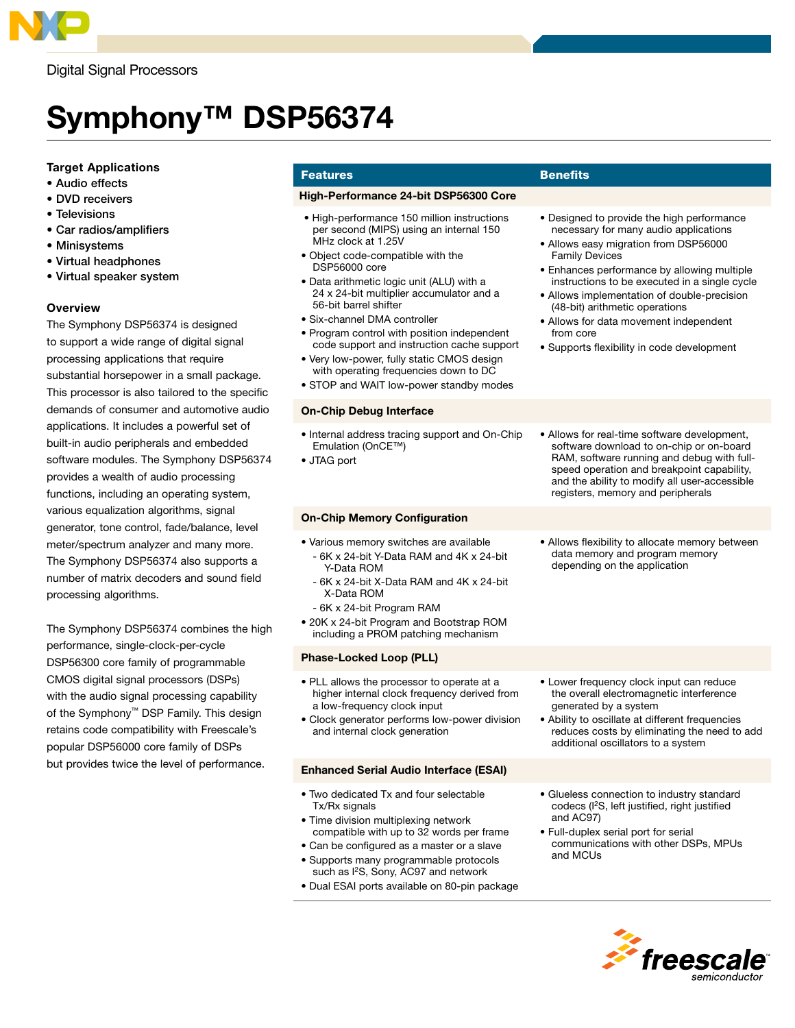

Digital Signal Processors

# Symphony™ DSP56374

## Target Applications

- Audio effects
- DVD receivers
- Televisions
- Car radios/amplifiers
- Minisystems
- Virtual headphones
- Virtual speaker system

## **Overview**

The Symphony DSP56374 is designed to support a wide range of digital signal processing applications that require substantial horsepower in a small package. This processor is also tailored to the specific demands of consumer and automotive audio applications. It includes a powerful set of built-in audio peripherals and embedded software modules. The Symphony DSP56374 provides a wealth of audio processing functions, including an operating system, various equalization algorithms, signal generator, tone control, fade/balance, level meter/spectrum analyzer and many more. The Symphony DSP56374 also supports a number of matrix decoders and sound field processing algorithms.

The Symphony DSP56374 combines the high performance, single-clock-per-cycle DSP56300 core family of programmable CMOS digital signal processors (DSPs) with the audio signal processing capability of the Symphony™ DSP Family. This design retains code compatibility with Freescale's popular DSP56000 core family of DSPs but provides twice the level of performance.

# **Features Benefits**

#### High-Performance 24-bit DSP56300 Core

- High-performance 150 million instructions per second (MIPS) using an internal 150 MHz clock at 1.25V
- Object code-compatible with the DSP56000 core
- Data arithmetic logic unit (ALU) with a 24 x 24-bit multiplier accumulator and a 56-bit barrel shifter
- Six-channel DMA controller
- Program control with position independent code support and instruction cache support
- Very low-power, fully static CMOS design with operating frequencies down to DC
- STOP and WAIT low-power standby modes

#### On-Chip Debug Interface

- Internal address tracing support and On-Chip Emulation (OnCE™)
- JTAG port

#### On-Chip Memory Configuration

- Various memory switches are available - 6K x 24-bit Y-Data RAM and 4K x 24-bit Y-Data ROM
	- 6K x 24-bit X-Data RAM and 4K x 24-bit X-Data ROM
	- 6K x 24-bit Program RAM
- 20K x 24-bit Program and Bootstrap ROM including a PROM patching mechanism

#### Phase-Locked Loop (PLL)

- PLL allows the processor to operate at a higher internal clock frequency derived from a low-frequency clock input
- Clock generator performs low-power division and internal clock generation

#### Enhanced Serial Audio Interface (ESAI)

- Two dedicated Tx and four selectable Tx/Rx signals
- Time division multiplexing network compatible with up to 32 words per frame
- Can be configured as a master or a slave
- Supports many programmable protocols such as I<sup>2</sup>S, Sony, AC97 and network
- Dual ESAI ports available on 80-pin package

- Designed to provide the high performance necessary for many audio applications
- Allows easy migration from DSP56000 Family Devices
- Enhances performance by allowing multiple instructions to be executed in a single cycle
- Allows implementation of double-precision (48-bit) arithmetic operations
- Allows for data movement independent from core
- Supports flexibility in code development
- Allows for real-time software development, software download to on-chip or on-board RAM, software running and debug with fullspeed operation and breakpoint capability, and the ability to modify all user-accessible registers, memory and peripherals
- Allows flexibility to allocate memory between data memory and program memory depending on the application

- Lower frequency clock input can reduce the overall electromagnetic interference generated by a system
- Ability to oscillate at different frequencies reduces costs by eliminating the need to add additional oscillators to a system
- Glueless connection to industry standard codecs (I2S, left justified, right justified and AC97)
- Full-duplex serial port for serial communications with other DSPs, MPUs and MCUs